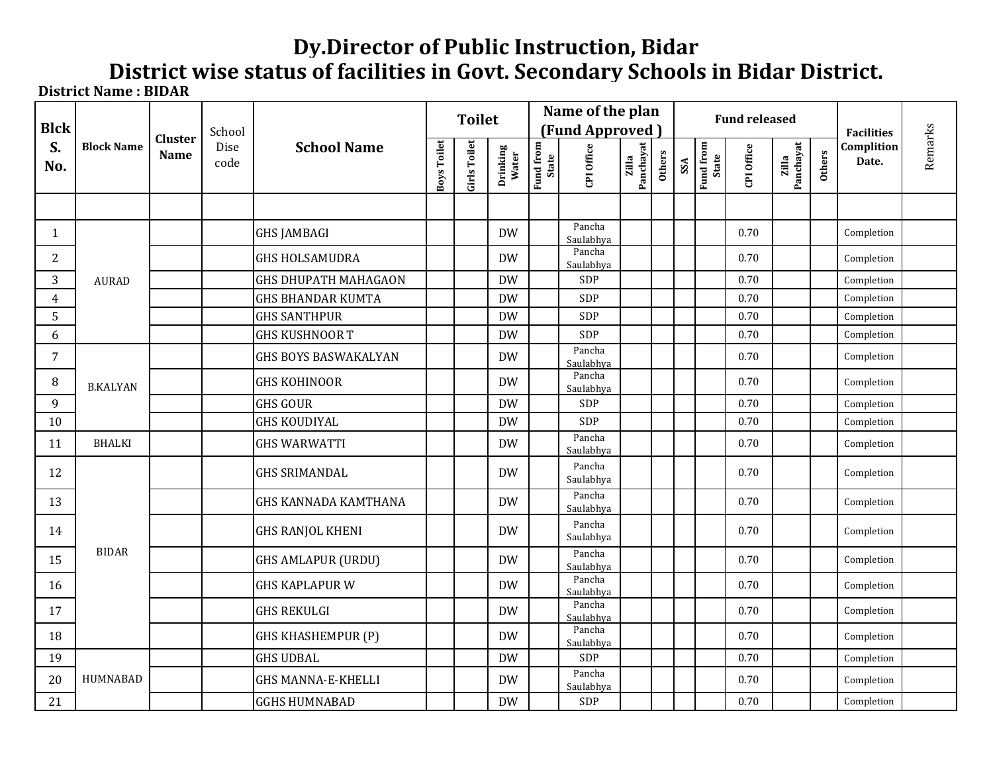## **Dy.Director of Public Instruction, Bidar District wise status of facilities in Govt. Secondary Schools in Bidar District.**

**District Name : BIDAR**

| <b>Blck</b>    | <b>Block Name</b> | <b>Cluster</b><br><b>Name</b> | School       | <b>School Name</b>          |             | <b>Toilet</b> |                   |                    | Name of the plan<br>(Fund Approved) |                    |               |     |                    | <b>Fund released</b> | <b>Facilities</b>  |        |                     |         |
|----------------|-------------------|-------------------------------|--------------|-----------------------------|-------------|---------------|-------------------|--------------------|-------------------------------------|--------------------|---------------|-----|--------------------|----------------------|--------------------|--------|---------------------|---------|
| S.<br>No.      |                   |                               | Dise<br>code |                             | Boys Toilet | Girls Toilet  | Drinking<br>Water | Fund from<br>State | CPI Office                          | Panchayat<br>Zilla | <b>Others</b> | SSA | Fund from<br>State | CPI Office           | Panchayat<br>zilla | Others | Complition<br>Date. | Remarks |
|                |                   |                               |              |                             |             |               |                   |                    |                                     |                    |               |     |                    |                      |                    |        |                     |         |
| $\mathbf{1}$   |                   |                               |              | <b>GHS JAMBAGI</b>          |             |               | <b>DW</b>         |                    | Pancha<br>Saulabhya                 |                    |               |     |                    | 0.70                 |                    |        | Completion          |         |
| $\overline{2}$ |                   |                               |              | <b>GHS HOLSAMUDRA</b>       |             |               | <b>DW</b>         |                    | Pancha<br>Saulabhya                 |                    |               |     |                    | 0.70                 |                    |        | Completion          |         |
| 3              | <b>AURAD</b>      |                               |              | <b>GHS DHUPATH MAHAGAON</b> |             |               | <b>DW</b>         |                    | SDP                                 |                    |               |     |                    | 0.70                 |                    |        | Completion          |         |
| $\overline{4}$ |                   |                               |              | <b>GHS BHANDAR KUMTA</b>    |             |               | <b>DW</b>         |                    | SDP                                 |                    |               |     |                    | $0.70\,$             |                    |        | Completion          |         |
| 5              |                   |                               |              | <b>GHS SANTHPUR</b>         |             |               | <b>DW</b>         |                    | SDP                                 |                    |               |     |                    | 0.70                 |                    |        | Completion          |         |
| 6              |                   |                               |              | <b>GHS KUSHNOOR T</b>       |             |               | <b>DW</b>         |                    | SDP                                 |                    |               |     |                    | 0.70                 |                    |        | Completion          |         |
| $\overline{7}$ |                   |                               |              | GHS BOYS BASWAKALYAN        |             |               | <b>DW</b>         |                    | Pancha<br>Saulabhya                 |                    |               |     |                    | 0.70                 |                    |        | Completion          |         |
| 8              | <b>B.KALYAN</b>   |                               |              | <b>GHS KOHINOOR</b>         |             |               | <b>DW</b>         |                    | Pancha<br>Saulabhya                 |                    |               |     |                    | 0.70                 |                    |        | Completion          |         |
| 9              |                   |                               |              | <b>GHS GOUR</b>             |             |               | <b>DW</b>         |                    | SDP                                 |                    |               |     |                    | 0.70                 |                    |        | Completion          |         |
| 10             |                   |                               |              | <b>GHS KOUDIYAL</b>         |             |               | <b>DW</b>         |                    | SDP                                 |                    |               |     |                    | 0.70                 |                    |        | Completion          |         |
| 11             | <b>BHALKI</b>     |                               |              | <b>GHS WARWATTI</b>         |             |               | <b>DW</b>         |                    | Pancha<br>Saulabhya                 |                    |               |     |                    | 0.70                 |                    |        | Completion          |         |
| 12             |                   |                               |              | <b>GHS SRIMANDAL</b>        |             |               | DW                |                    | Pancha<br>Saulabhya                 |                    |               |     |                    | 0.70                 |                    |        | Completion          |         |
| 13             |                   |                               |              | <b>GHS KANNADA KAMTHANA</b> |             |               | <b>DW</b>         |                    | Pancha<br>Saulabhya                 |                    |               |     |                    | 0.70                 |                    |        | Completion          |         |
| 14             |                   |                               |              | <b>GHS RANJOL KHENI</b>     |             |               | <b>DW</b>         |                    | Pancha<br>Saulabhya                 |                    |               |     |                    | 0.70                 |                    |        | Completion          |         |
| 15             | <b>BIDAR</b>      |                               |              | <b>GHS AMLAPUR (URDU)</b>   |             |               | <b>DW</b>         |                    | Pancha<br>Saulabhya                 |                    |               |     |                    | 0.70                 |                    |        | Completion          |         |
| 16             |                   |                               |              | <b>GHS KAPLAPUR W</b>       |             |               | <b>DW</b>         |                    | Pancha<br>Saulabhya                 |                    |               |     |                    | 0.70                 |                    |        | Completion          |         |
| 17             |                   |                               |              | <b>GHS REKULGI</b>          |             |               | <b>DW</b>         |                    | Pancha<br>Saulabhya                 |                    |               |     |                    | 0.70                 |                    |        | Completion          |         |
| 18             |                   |                               |              | <b>GHS KHASHEMPUR (P)</b>   |             |               | <b>DW</b>         |                    | Pancha<br>Saulabhya                 |                    |               |     |                    | 0.70                 |                    |        | Completion          |         |
| 19             |                   |                               |              | <b>GHS UDBAL</b>            |             |               | <b>DW</b>         |                    | SDP                                 |                    |               |     |                    | 0.70                 |                    |        | Completion          |         |
| 20             | HUMNABAD          |                               |              | <b>GHS MANNA-E-KHELLI</b>   |             |               | <b>DW</b>         |                    | Pancha<br>Saulabhya                 |                    |               |     |                    | 0.70                 |                    |        | Completion          |         |
| 21             |                   |                               |              | <b>GGHS HUMNABAD</b>        |             |               | <b>DW</b>         |                    | <b>SDP</b>                          |                    |               |     |                    | 0.70                 |                    |        | Completion          |         |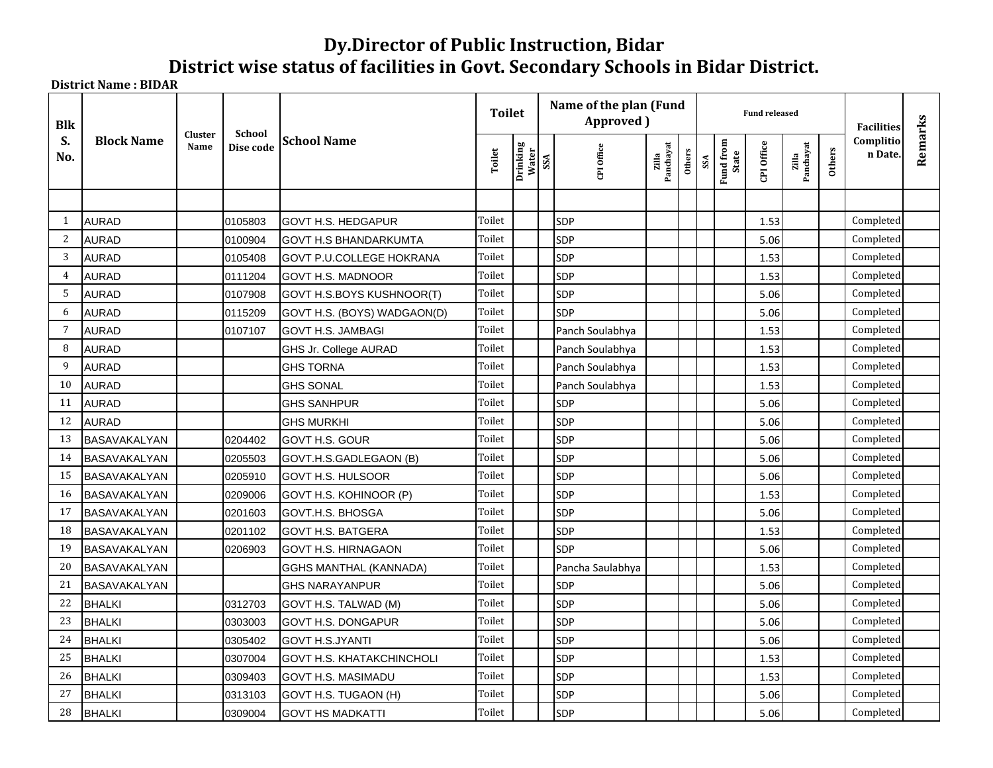## **Dy.Director of Public Instruction, Bidar District wise status of facilities in Govt. Secondary Schools in Bidar District.**

**District Name : BIDAR**

| <b>Blk</b>     | <b>Block Name</b>   |                 | <b>School</b> |                                 | <b>Toilet</b> |                   |     | Name of the plan (Fund<br>Approved) |                    |        | <b>Fund released</b> | <b>Facilities</b>         |            |                    |        |                      |         |
|----------------|---------------------|-----------------|---------------|---------------------------------|---------------|-------------------|-----|-------------------------------------|--------------------|--------|----------------------|---------------------------|------------|--------------------|--------|----------------------|---------|
| S.<br>No.      |                     | Cluster<br>Name | Dise code     | <b>School Name</b>              | Toilet        | Drinking<br>Water | SSA | CPI Office                          | Panchayat<br>Zilla | Others | SSA                  | <b>Fund from</b><br>State | CPI Office | Zilla<br>Panchayat | Others | Complitio<br>n Date. | Remarks |
|                |                     |                 |               |                                 |               |                   |     |                                     |                    |        |                      |                           |            |                    |        |                      |         |
| 1              | <b>AURAD</b>        |                 | 0105803       | <b>GOVT H.S. HEDGAPUR</b>       | Toilet        |                   |     | <b>SDP</b>                          |                    |        |                      |                           | 1.53       |                    |        | Completed            |         |
| 2              | <b>AURAD</b>        |                 | 0100904       | <b>GOVT H.S BHANDARKUMTA</b>    | Toilet        |                   |     | SDP                                 |                    |        |                      |                           | 5.06       |                    |        | Completed            |         |
| 3              | <b>AURAD</b>        |                 | 0105408       | <b>GOVT P.U.COLLEGE HOKRANA</b> | Toilet        |                   |     | <b>SDP</b>                          |                    |        |                      |                           | 1.53       |                    |        | Completed            |         |
| $\overline{4}$ | <b>AURAD</b>        |                 | 0111204       | GOVT H.S. MADNOOR               | Toilet        |                   |     | <b>SDP</b>                          |                    |        |                      |                           | 1.53       |                    |        | Completed            |         |
| 5              | <b>AURAD</b>        |                 | 0107908       | GOVT H.S.BOYS KUSHNOOR(T)       | Toilet        |                   |     | <b>SDP</b>                          |                    |        |                      |                           | 5.06       |                    |        | Completed            |         |
| 6              | <b>AURAD</b>        |                 | 0115209       | GOVT H.S. (BOYS) WADGAON(D)     | Toilet        |                   |     | <b>SDP</b>                          |                    |        |                      |                           | 5.06       |                    |        | Completed            |         |
| $\overline{7}$ | <b>AURAD</b>        |                 | 0107107       | <b>GOVT H.S. JAMBAGI</b>        | Toilet        |                   |     | Panch Soulabhya                     |                    |        |                      |                           | 1.53       |                    |        | Completed            |         |
| 8              | <b>AURAD</b>        |                 |               | GHS Jr. College AURAD           | Toilet        |                   |     | Panch Soulabhya                     |                    |        |                      |                           | 1.53       |                    |        | Completed            |         |
| 9              | <b>AURAD</b>        |                 |               | <b>GHS TORNA</b>                | Toilet        |                   |     | Panch Soulabhya                     |                    |        |                      |                           | 1.53       |                    |        | Completed            |         |
| 10             | <b>AURAD</b>        |                 |               | <b>GHS SONAL</b>                | Toilet        |                   |     | Panch Soulabhya                     |                    |        |                      |                           | 1.53       |                    |        | Completed            |         |
| 11             | <b>AURAD</b>        |                 |               | <b>GHS SANHPUR</b>              | Toilet        |                   |     | <b>SDP</b>                          |                    |        |                      |                           | 5.06       |                    |        | Completed            |         |
| 12             | <b>AURAD</b>        |                 |               | <b>GHS MURKHI</b>               | Toilet        |                   |     | SDP                                 |                    |        |                      |                           | 5.06       |                    |        | Completed            |         |
| 13             | BASAVAKALYAN        |                 | 0204402       | GOVT H.S. GOUR                  | Toilet        |                   |     | <b>SDP</b>                          |                    |        |                      |                           | 5.06       |                    |        | Completed            |         |
| 14             | BASAVAKALYAN        |                 | 0205503       | GOVT.H.S.GADLEGAON (B)          | Toilet        |                   |     | SDP                                 |                    |        |                      |                           | 5.06       |                    |        | Completed            |         |
| 15             | <b>BASAVAKALYAN</b> |                 | 0205910       | <b>GOVT H.S. HULSOOR</b>        | Toilet        |                   |     | SDP                                 |                    |        |                      |                           | 5.06       |                    |        | Completed            |         |
| 16             | BASAVAKALYAN        |                 | 0209006       | GOVT H.S. KOHINOOR (P)          | Toilet        |                   |     | <b>SDP</b>                          |                    |        |                      |                           | 1.53       |                    |        | Completed            |         |
| 17             | BASAVAKALYAN        |                 | 0201603       | GOVT.H.S. BHOSGA                | Toilet        |                   |     | <b>SDP</b>                          |                    |        |                      |                           | 5.06       |                    |        | Completed            |         |
| 18             | BASAVAKALYAN        |                 | 0201102       | <b>GOVT H.S. BATGERA</b>        | Toilet        |                   |     | <b>SDP</b>                          |                    |        |                      |                           | 1.53       |                    |        | Completed            |         |
| 19             | BASAVAKALYAN        |                 | 0206903       | GOVT H.S. HIRNAGAON             | Toilet        |                   |     | <b>SDP</b>                          |                    |        |                      |                           | 5.06       |                    |        | Completed            |         |
| 20             | BASAVAKALYAN        |                 |               | <b>GGHS MANTHAL (KANNADA)</b>   | Toilet        |                   |     | Pancha Saulabhya                    |                    |        |                      |                           | 1.53       |                    |        | Completed            |         |
| 21             | BASAVAKALYAN        |                 |               | <b>GHS NARAYANPUR</b>           | Toilet        |                   |     | <b>SDP</b>                          |                    |        |                      |                           | 5.06       |                    |        | Completed            |         |
| 22             | <b>BHALKI</b>       |                 | 0312703       | GOVT H.S. TALWAD (M)            | Toilet        |                   |     | <b>SDP</b>                          |                    |        |                      |                           | 5.06       |                    |        | Completed            |         |
| 23             | <b>BHALKI</b>       |                 | 0303003       | <b>GOVT H.S. DONGAPUR</b>       | Toilet        |                   |     | <b>SDP</b>                          |                    |        |                      |                           | 5.06       |                    |        | Completed            |         |
| 24             | <b>BHALKI</b>       |                 | 0305402       | <b>GOVT H.S.JYANTI</b>          | Toilet        |                   |     | <b>SDP</b>                          |                    |        |                      |                           | 5.06       |                    |        | Completed            |         |
| 25             | <b>BHALKI</b>       |                 | 0307004       | GOVT H.S. KHATAKCHINCHOLI       | Toilet        |                   |     | <b>SDP</b>                          |                    |        |                      |                           | 1.53       |                    |        | Completed            |         |
| 26             | <b>BHALKI</b>       |                 | 0309403       | <b>GOVT H.S. MASIMADU</b>       | Toilet        |                   |     | <b>SDP</b>                          |                    |        |                      |                           | 1.53       |                    |        | Completed            |         |
| 27             | <b>BHALKI</b>       |                 | 0313103       | GOVT H.S. TUGAON (H)            | Toilet        |                   |     | <b>SDP</b>                          |                    |        |                      |                           | 5.06       |                    |        | Completed            |         |
| 28             | <b>BHALKI</b>       |                 | 0309004       | <b>GOVT HS MADKATTI</b>         | Toilet        |                   |     | <b>SDP</b>                          |                    |        |                      |                           | 5.06       |                    |        | Completed            |         |